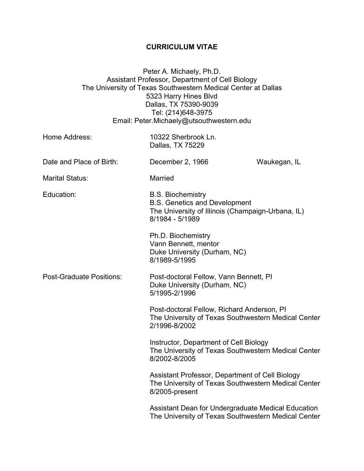## **CURRICULUM VITAE**

Peter A. Michaely, Ph.D. Assistant Professor, Department of Cell Biology The University of Texas Southwestern Medical Center at Dallas 5323 Harry Hines Blvd Dallas, TX 75390-9039 Tel: (214)648-3975 Email: Peter.Michaely@utsouthwestern.edu

| Home Address:                                                                                                              | 10322 Sherbrook Ln.<br>Dallas, TX 75229                                                                                                  |              |
|----------------------------------------------------------------------------------------------------------------------------|------------------------------------------------------------------------------------------------------------------------------------------|--------------|
| Date and Place of Birth:                                                                                                   | December 2, 1966                                                                                                                         | Waukegan, IL |
| <b>Marital Status:</b>                                                                                                     | Married                                                                                                                                  |              |
| Education:                                                                                                                 | <b>B.S. Biochemistry</b><br><b>B.S. Genetics and Development</b><br>The University of Illinois (Champaign-Urbana, IL)<br>8/1984 - 5/1989 |              |
|                                                                                                                            | Ph.D. Biochemistry<br>Vann Bennett, mentor<br>Duke University (Durham, NC)<br>8/1989-5/1995                                              |              |
| <b>Post-Graduate Positions:</b><br>Post-doctoral Fellow, Vann Bennett, PI<br>Duke University (Durham, NC)<br>5/1995-2/1996 |                                                                                                                                          |              |
|                                                                                                                            | Post-doctoral Fellow, Richard Anderson, PI<br>The University of Texas Southwestern Medical Center<br>2/1996-8/2002                       |              |
|                                                                                                                            | Instructor, Department of Cell Biology<br>The University of Texas Southwestern Medical Center<br>8/2002-8/2005                           |              |
|                                                                                                                            | Assistant Professor, Department of Cell Biology<br>The University of Texas Southwestern Medical Center<br>8/2005-present                 |              |
|                                                                                                                            | Assistant Dean for Undergraduate Medical Education<br>The University of Texas Southwestern Medical Center                                |              |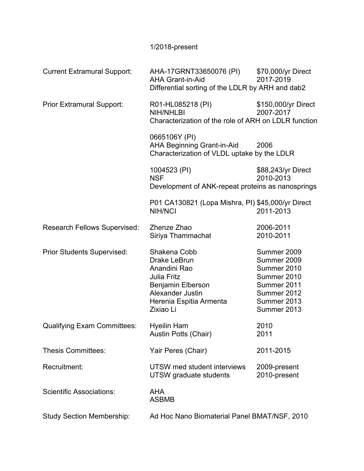## 1/2018-present

| AHA-17GRNT33650076 (PI)<br><b>AHA Grant-in-Aid</b>                                                                                                  | \$70,000/yr Direct<br>2017-2019                                                                                                                                                                                    |
|-----------------------------------------------------------------------------------------------------------------------------------------------------|--------------------------------------------------------------------------------------------------------------------------------------------------------------------------------------------------------------------|
| R01-HL085218 (PI)<br><b>NIH/NHLBI</b>                                                                                                               | \$150,000/yr Direct<br>2007-2017                                                                                                                                                                                   |
| 0665106Y (PI)<br><b>AHA Beginning Grant-in-Aid</b><br>2006<br>Characterization of VLDL uptake by the LDLR                                           |                                                                                                                                                                                                                    |
| 1004523 (PI)<br><b>NSF</b>                                                                                                                          | \$88,243/yr Direct<br>2010-2013                                                                                                                                                                                    |
| <b>NIH/NCI</b>                                                                                                                                      | 2011-2013                                                                                                                                                                                                          |
| Zhenze Zhao                                                                                                                                         | 2006-2011                                                                                                                                                                                                          |
| Siriya Thammachat                                                                                                                                   | 2010-2011                                                                                                                                                                                                          |
| Shakena Cobb<br>Drake LeBrun<br>Anandini Rao<br>Julia Fritz<br>Benjamin Elberson<br><b>Alexander Justin</b><br>Herenia Espitia Armenta<br>Zixiao Li | Summer 2009<br>Summer 2009<br>Summer 2010<br>Summer 2010<br>Summer 2011<br>Summer 2012<br>Summer 2013<br>Summer 2013                                                                                               |
| <b>Hyeilin Ham</b><br>Austin Potts (Chair)                                                                                                          | 2010<br>2011                                                                                                                                                                                                       |
| Yair Peres (Chair)                                                                                                                                  | 2011-2015                                                                                                                                                                                                          |
| UTSW med student interviews<br>UTSW graduate students                                                                                               | 2009-present<br>2010-present                                                                                                                                                                                       |
| <b>AHA</b><br><b>ASBMB</b>                                                                                                                          |                                                                                                                                                                                                                    |
|                                                                                                                                                     | Differential sorting of the LDLR by ARH and dab2<br>Characterization of the role of ARH on LDLR function<br>Development of ANK-repeat proteins as nanosprings<br>P01 CA130821 (Lopa Mishra, PI) \$45,000/yr Direct |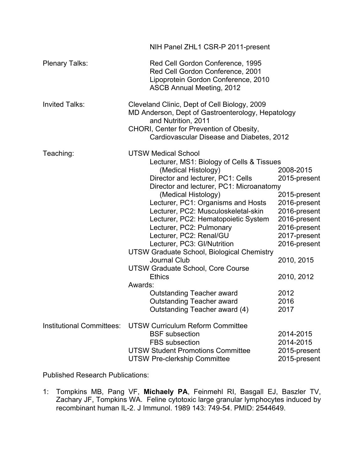|                                  | NIH Panel ZHL1 CSR-P 2011-present                                                                                                                                                                                                                                                                                                                                                                                                                                                                                                                                                                                                                                             |                                                                                                                                                                                               |  |
|----------------------------------|-------------------------------------------------------------------------------------------------------------------------------------------------------------------------------------------------------------------------------------------------------------------------------------------------------------------------------------------------------------------------------------------------------------------------------------------------------------------------------------------------------------------------------------------------------------------------------------------------------------------------------------------------------------------------------|-----------------------------------------------------------------------------------------------------------------------------------------------------------------------------------------------|--|
| <b>Plenary Talks:</b>            | Red Cell Gordon Conference, 1995<br>Red Cell Gordon Conference, 2001<br>Lipoprotein Gordon Conference, 2010<br><b>ASCB Annual Meeting, 2012</b>                                                                                                                                                                                                                                                                                                                                                                                                                                                                                                                               |                                                                                                                                                                                               |  |
| <b>Invited Talks:</b>            | Cleveland Clinic, Dept of Cell Biology, 2009<br>MD Anderson, Dept of Gastroenterology, Hepatology<br>and Nutrition, 2011<br>CHORI, Center for Prevention of Obesity,<br>Cardiovascular Disease and Diabetes, 2012                                                                                                                                                                                                                                                                                                                                                                                                                                                             |                                                                                                                                                                                               |  |
| Teaching:                        | <b>UTSW Medical School</b><br>Lecturer, MS1: Biology of Cells & Tissues<br>(Medical Histology)<br>Director and lecturer, PC1: Cells<br>Director and lecturer, PC1: Microanatomy<br>(Medical Histology)<br>Lecturer, PC1: Organisms and Hosts<br>Lecturer, PC2: Musculoskeletal-skin<br>Lecturer, PC2: Hematopoietic System<br>Lecturer, PC2: Pulmonary<br>Lecturer, PC2: Renal/GU<br>Lecturer, PC3: GI/Nutrition<br><b>UTSW Graduate School, Biological Chemistry</b><br><b>Journal Club</b><br><b>UTSW Graduate School, Core Course</b><br><b>Ethics</b><br>Awards:<br><b>Outstanding Teacher award</b><br><b>Outstanding Teacher award</b><br>Outstanding Teacher award (4) | 2008-2015<br>2015-present<br>2015-present<br>2016-present<br>2016-present<br>2016-present<br>2016-present<br>2017-present<br>2016-present<br>2010, 2015<br>2010, 2012<br>2012<br>2016<br>2017 |  |
| <b>Institutional Committees:</b> | <b>UTSW Curriculum Reform Committee</b><br><b>BSF</b> subsection<br><b>FBS</b> subsection<br><b>UTSW Student Promotions Committee</b><br><b>UTSW Pre-clerkship Committee</b>                                                                                                                                                                                                                                                                                                                                                                                                                                                                                                  | 2014-2015<br>2014-2015<br>2015-present<br>2015-present                                                                                                                                        |  |

Published Research Publications:

1: Tompkins MB, Pang VF, **Michaely PA**, Feinmehl RI, Basgall EJ, Baszler TV, Zachary JF, Tompkins WA. Feline cytotoxic large granular lymphocytes induced by recombinant human IL-2. J Immunol. 1989 143: 749-54. PMID: 2544649.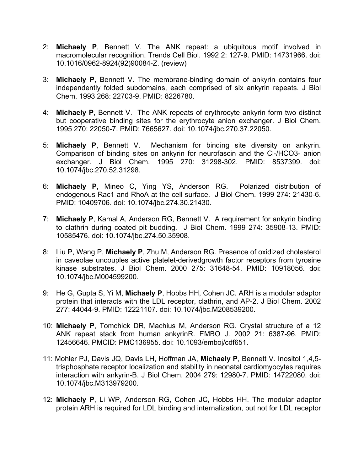- 2: **Michaely P**, Bennett V. The ANK repeat: a ubiquitous motif involved in macromolecular recognition. Trends Cell Biol. 1992 2: 127-9. PMID: 14731966. doi: 10.1016/0962-8924(92)90084-Z. (review)
- 3: **Michaely P**, Bennett V. The membrane-binding domain of ankyrin contains four independently folded subdomains, each comprised of six ankyrin repeats. J Biol Chem. 1993 268: 22703-9. PMID: 8226780.
- 4: **Michaely P**, Bennett V. The ANK repeats of erythrocyte ankyrin form two distinct but cooperative binding sites for the erythrocyte anion exchanger. J Biol Chem. 1995 270: 22050-7. PMID: 7665627. doi: 10.1074/jbc.270.37.22050.
- 5: **Michaely P**, Bennett V. Mechanism for binding site diversity on ankyrin. Comparison of binding sites on ankyrin for neurofascin and the Cl-/HCO3- anion exchanger. J Biol Chem. 1995 270: 31298-302. PMID: 8537399. doi: 10.1074/jbc.270.52.31298.
- 6: **Michaely P**, Mineo C, Ying YS, Anderson RG. Polarized distribution of endogenous Rac1 and RhoA at the cell surface. J Biol Chem. 1999 274: 21430-6. PMID: 10409706. doi: 10.1074/jbc.274.30.21430.
- 7: **Michaely P**, Kamal A, Anderson RG, Bennett V. A requirement for ankyrin binding to clathrin during coated pit budding. J Biol Chem. 1999 274: 35908-13. PMID: 10585476. doi: 10.1074/jbc.274.50.35908.
- 8: Liu P, Wang P, **Michaely P**, Zhu M, Anderson RG. Presence of oxidized cholesterol in caveolae uncouples active platelet-derivedgrowth factor receptors from tyrosine kinase substrates. J Biol Chem. 2000 275: 31648-54. PMID: 10918056. doi: 10.1074/jbc.M004599200.
- 9: He G, Gupta S, Yi M, **Michaely P**, Hobbs HH, Cohen JC. ARH is a modular adaptor protein that interacts with the LDL receptor, clathrin, and AP-2. J Biol Chem. 2002 277: 44044-9. PMID: 12221107. doi: 10.1074/jbc.M208539200.
- 10: **Michaely P**, Tomchick DR, Machius M, Anderson RG. Crystal structure of a 12 ANK repeat stack from human ankyrinR. EMBO J. 2002 21: 6387-96. PMID: 12456646. PMCID: PMC136955. doi: 10.1093/emboj/cdf651.
- 11: Mohler PJ, Davis JQ, Davis LH, Hoffman JA, **Michaely P**, Bennett V. Inositol 1,4,5 trisphosphate receptor localization and stability in neonatal cardiomyocytes requires interaction with ankyrin-B. J Biol Chem. 2004 279: 12980-7. PMID: 14722080. doi: 10.1074/jbc.M313979200.
- 12: **Michaely P**, Li WP, Anderson RG, Cohen JC, Hobbs HH. The modular adaptor protein ARH is required for LDL binding and internalization, but not for LDL receptor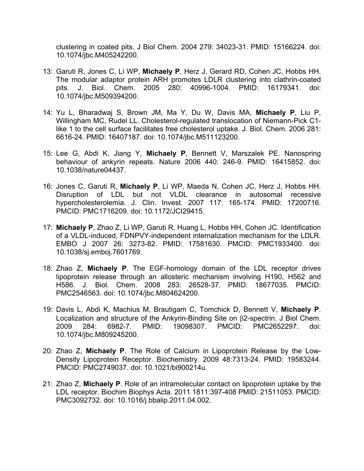clustering in coated pits. J Biol Chem. 2004 279: 34023-31. PMID: 15166224. doi: 10.1074/jbc.M405242200.

- 13: Garuti R, Jones C, Li WP, **Michaely P**, Herz J, Gerard RD, Cohen JC, Hobbs HH. The modular adaptor protein ARH promotes LDLR clustering into clathrin-coated pits. J. Biol. Chem. 2005 280: 40996-1004. PMID: 16179341. doi: 10.1074/jbc.M509394200.
- 14: Yu L, Bharadwaj S, Brown JM, Ma Y, Du W, Davis MA, **Michaely P**, Liu P, Willingham MC, Rudel LL. Cholesterol-regulated translocation of Niemann-Pick C1 like 1 to the cell surface facilitates free cholesterol uptake. J. Biol. Chem. 2006 281: 6616-24. PMID: 16407187. doi: 10.1074/jbc.M511123200.
- 15: Lee G, Abdi K, Jiang Y, **Michaely P**, Bennett V, Marszalek PE. Nanospring behaviour of ankyrin repeats. Nature 2006 440: 246-9. PMID: 16415852. doi: 10.1038/nature04437.
- 16: Jones C, Garuti R, **Michaely P**, Li WP, Maeda N, Cohen JC, Herz J, Hobbs HH. Disruption of LDL but not VLDL clearance in autosomal recessive hypercholesterolemia. J. Clin. Invest. 2007 117: 165-174. PMID: 17200716. PMCID: PMC1716209. doi: 10.1172/JCI29415.
- 17: **Michaely P**, Zhao Z, Li WP, Garuti R, Huang L, Hobbs HH, Cohen JC. Identification of a VLDL-induced, FDNPVY-independent internalization mechanism for the LDLR. EMBO J 2007 26: 3273-82. PMID: 17581630. PMCID: PMC1933400. doi: 10.1038/sj.emboj.7601769.
- 18: Zhao Z, **Michaely P**. The EGF-homology domain of the LDL receptor drives lipoprotein release through an allosteric mechanism involving H190, H562 and H586. J. Biol. Chem. 2008 283: 26528-37. PMID: 18677035. PMCID: PMC2546563. doi: 10.1074/jbc.M804624200.
- 19: Davis L, Abdi K, Machius M, Brautigam C, Tomchick D, Bennett V, **Michaely P**. Localization and structure of the Ankyrin-Binding Site on  $\beta$ 2-spectrin. J Biol Chem. 2009 284: 6982-7. PMID: 19098307. PMCID: PMC2652297. doi: 10.1074/jbc.M809245200.
- 20: Zhao Z, **Michaely P**. The Role of Calcium in Lipoprotein Release by the Low-Density Lipoprotein Receptor. Biochemistry. 2009 48:7313-24. PMID: 19583244. PMCID: PMC2749037. doi: 10.1021/bi900214u.
- 21: Zhao Z, **Michaely P**. Role of an intramolecular contact on lipoprotein uptake by the LDL receptor. Biochim Biophys Acta. 2011 1811:397-408 PMID: 21511053. PMCID: PMC3092732. doi: 10.1016/j.bbalip.2011.04.002.